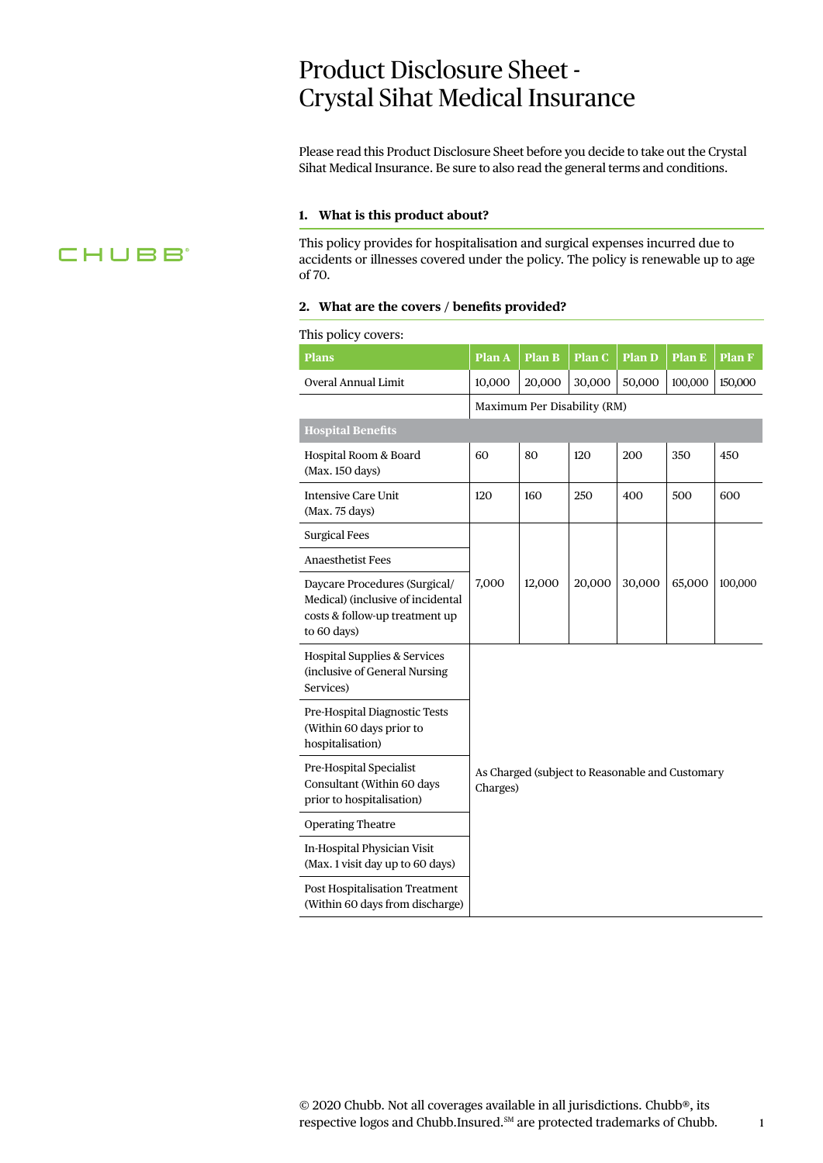# Product Disclosure Sheet - Crystal Sihat Medical Insurance

Please read this Product Disclosure Sheet before you decide to take out the Crystal Sihat Medical Insurance. Be sure to also read the general terms and conditions.

#### **1. What is this product about?**

This policy provides for hospitalisation and surgical expenses incurred due to accidents or illnesses covered under the policy. The policy is renewable up to age of 70.

#### **2. What are the covers / benefits provided?**

#### This policy covers:

| THIS POIRT COVETS.                                                                                                  |                                                             |               |        |               |               |               |
|---------------------------------------------------------------------------------------------------------------------|-------------------------------------------------------------|---------------|--------|---------------|---------------|---------------|
| <b>Plans</b>                                                                                                        | Plan A                                                      | <b>Plan B</b> | Plan C | <b>Plan D</b> | <b>Plan E</b> | <b>Plan F</b> |
| Overal Annual Limit                                                                                                 | 10,000                                                      | 20,000        | 30,000 | 50,000        | 100,000       | 150,000       |
|                                                                                                                     | Maximum Per Disability (RM)                                 |               |        |               |               |               |
| <b>Hospital Benefits</b>                                                                                            |                                                             |               |        |               |               |               |
| Hospital Room & Board<br>(Max. 150 days)                                                                            | 60                                                          | 80            | 120    | 200           | 350           | 450           |
| <b>Intensive Care Unit</b><br>(Max. 75 days)                                                                        | 120                                                         | 160           | 250    | 400           | 500           | 600           |
| <b>Surgical Fees</b>                                                                                                |                                                             |               |        |               |               |               |
| <b>Anaesthetist Fees</b>                                                                                            | 7,000                                                       | 12,000        | 20,000 | 30,000        | 65,000        | 100,000       |
| Daycare Procedures (Surgical/<br>Medical) (inclusive of incidental<br>costs & follow-up treatment up<br>to 60 days) |                                                             |               |        |               |               |               |
| <b>Hospital Supplies &amp; Services</b><br>(inclusive of General Nursing<br>Services)                               |                                                             |               |        |               |               |               |
| Pre-Hospital Diagnostic Tests<br>(Within 60 days prior to<br>hospitalisation)                                       | As Charged (subject to Reasonable and Customary<br>Charges) |               |        |               |               |               |
| Pre-Hospital Specialist<br>Consultant (Within 60 days<br>prior to hospitalisation)                                  |                                                             |               |        |               |               |               |
| <b>Operating Theatre</b>                                                                                            |                                                             |               |        |               |               |               |
| In-Hospital Physician Visit<br>(Max. 1 visit day up to 60 days)                                                     |                                                             |               |        |               |               |               |
| <b>Post Hospitalisation Treatment</b><br>(Within 60 days from discharge)                                            |                                                             |               |        |               |               |               |

1

# **CHUBB**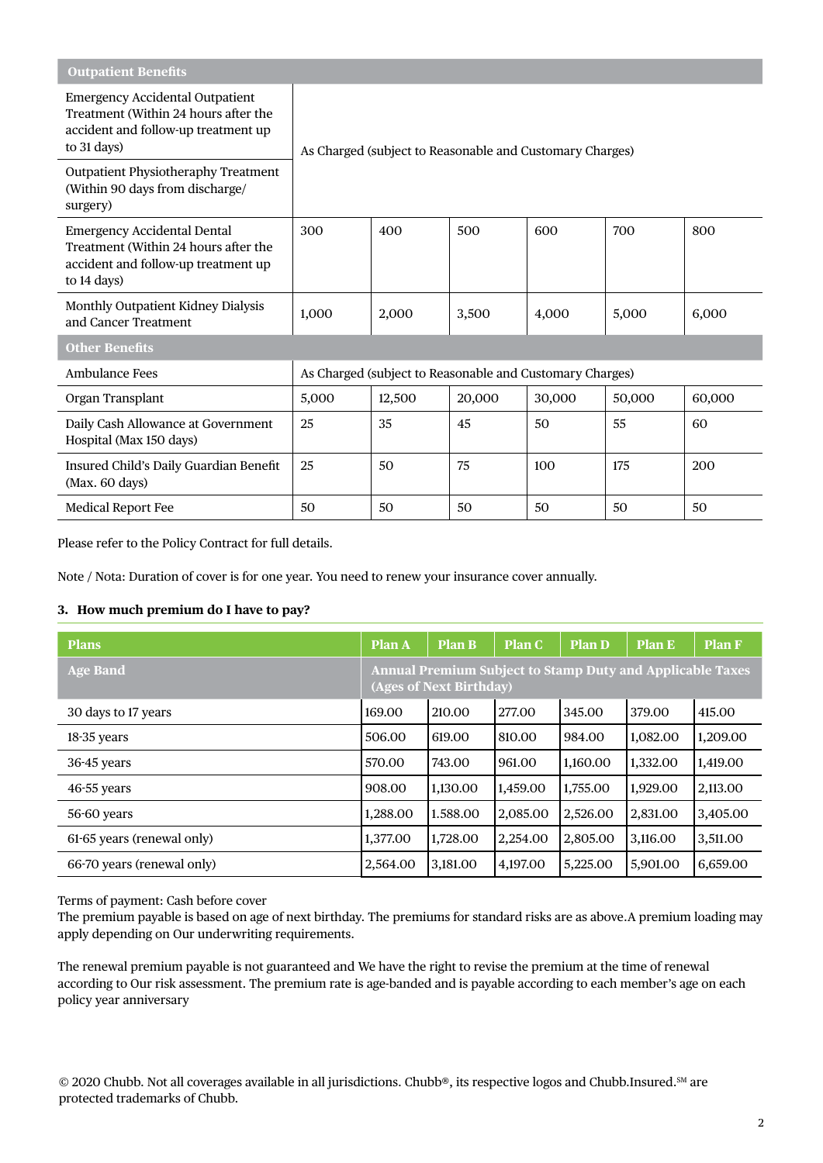| <b>Outpatient Benefits</b>                                                                                                           |                                                          |        |        |        |        |        |
|--------------------------------------------------------------------------------------------------------------------------------------|----------------------------------------------------------|--------|--------|--------|--------|--------|
| <b>Emergency Accidental Outpatient</b><br>Treatment (Within 24 hours after the<br>accident and follow-up treatment up<br>to 31 days) | As Charged (subject to Reasonable and Customary Charges) |        |        |        |        |        |
| <b>Outpatient Physiotheraphy Treatment</b><br>(Within 90 days from discharge/<br>surgery)                                            |                                                          |        |        |        |        |        |
| <b>Emergency Accidental Dental</b><br>Treatment (Within 24 hours after the<br>accident and follow-up treatment up<br>to 14 days)     | 300                                                      | 400    | 500    | 600    | 700    | 800    |
| Monthly Outpatient Kidney Dialysis<br>and Cancer Treatment                                                                           | 1,000                                                    | 2,000  | 3,500  | 4,000  | 5,000  | 6,000  |
| <b>Other Benefits</b>                                                                                                                |                                                          |        |        |        |        |        |
| Ambulance Fees                                                                                                                       | As Charged (subject to Reasonable and Customary Charges) |        |        |        |        |        |
| Organ Transplant                                                                                                                     | 5,000                                                    | 12,500 | 20,000 | 30,000 | 50,000 | 60,000 |
| Daily Cash Allowance at Government<br>Hospital (Max 150 days)                                                                        | 25                                                       | 35     | 45     | 50     | 55     | 60     |
| Insured Child's Daily Guardian Benefit<br>(Max. 60 days)                                                                             | 25                                                       | 50     | 75     | 100    | 175    | 200    |
| <b>Medical Report Fee</b>                                                                                                            | 50                                                       | 50     | 50     | 50     | 50     | 50     |

Please refer to the Policy Contract for full details.

Note / Nota: Duration of cover is for one year. You need to renew your insurance cover annually.

# **3. How much premium do I have to pay?**

| <b>Plans</b>               | <b>Plan A</b>                                                                               | <b>Plan B</b> | <b>Plan C</b> | <b>Plan D</b> | Plan E   | <b>Plan F</b> |
|----------------------------|---------------------------------------------------------------------------------------------|---------------|---------------|---------------|----------|---------------|
| <b>Age Band</b>            | <b>Annual Premium Subject to Stamp Duty and Applicable Taxes</b><br>(Ages of Next Birthday) |               |               |               |          |               |
| 30 days to 17 years        | 169.00                                                                                      | 210.00        | 277.00        | 345.00        | 379.00   | 415.00        |
| 18-35 years                | 506.00                                                                                      | 619.00        | 810.00        | 984.00        | 1,082.00 | 1,209.00      |
| $36-45$ years              | 570.00                                                                                      | 743.00        | 961.00        | 1,160.00      | 1,332.00 | 1,419.00      |
| $46-55$ years              | 908.00                                                                                      | 1,130.00      | 1,459.00      | 1,755.00      | 1,929.00 | 2,113.00      |
| 56-60 years                | 1,288.00                                                                                    | 1.588.00      | 2,085.00      | 2,526.00      | 2,831.00 | 3,405.00      |
| 61-65 years (renewal only) | 1,377.00                                                                                    | 1,728.00      | 2,254.00      | 2,805.00      | 3,116.00 | 3,511.00      |
| 66-70 years (renewal only) | 2,564.00                                                                                    | 3,181.00      | 4,197.00      | 5,225.00      | 5,901.00 | 6,659.00      |

Terms of payment: Cash before cover

The premium payable is based on age of next birthday. The premiums for standard risks are as above.A premium loading may apply depending on Our underwriting requirements.

The renewal premium payable is not guaranteed and We have the right to revise the premium at the time of renewal according to Our risk assessment. The premium rate is age-banded and is payable according to each member's age on each policy year anniversary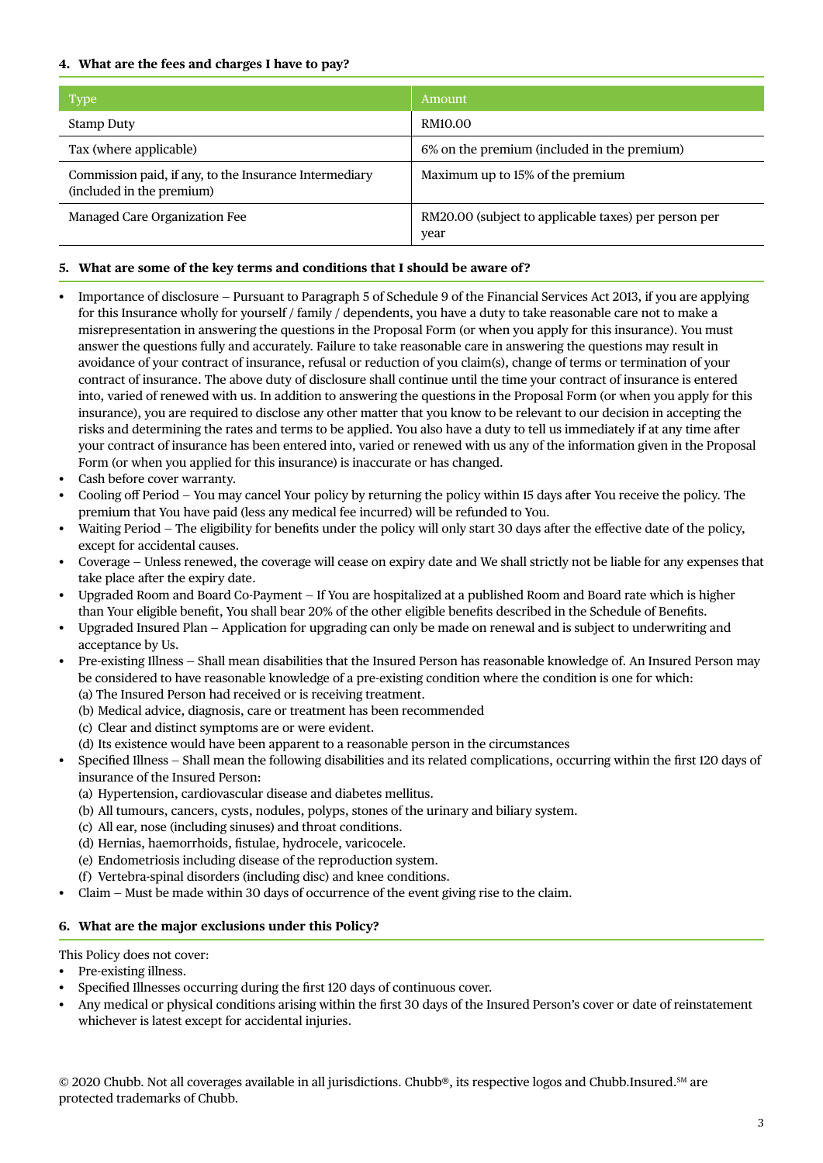# **4. What are the fees and charges I have to pay?**

| <b>Type</b>                                                                         | Amount.                                                      |
|-------------------------------------------------------------------------------------|--------------------------------------------------------------|
| <b>Stamp Duty</b>                                                                   | RM10.00                                                      |
| Tax (where applicable)                                                              | 6% on the premium (included in the premium)                  |
| Commission paid, if any, to the Insurance Intermediary<br>(included in the premium) | Maximum up to 15% of the premium                             |
| Managed Care Organization Fee                                                       | RM20.00 (subject to applicable taxes) per person per<br>year |

# **5. What are some of the key terms and conditions that I should be aware of?**

- Importance of disclosure Pursuant to Paragraph 5 of Schedule 9 of the Financial Services Act 2013, if you are applying for this Insurance wholly for yourself / family / dependents, you have a duty to take reasonable care not to make a misrepresentation in answering the questions in the Proposal Form (or when you apply for this insurance). You must answer the questions fully and accurately. Failure to take reasonable care in answering the questions may result in avoidance of your contract of insurance, refusal or reduction of you claim(s), change of terms or termination of your contract of insurance. The above duty of disclosure shall continue until the time your contract of insurance is entered into, varied of renewed with us. In addition to answering the questions in the Proposal Form (or when you apply for this insurance), you are required to disclose any other matter that you know to be relevant to our decision in accepting the risks and determining the rates and terms to be applied. You also have a duty to tell us immediately if at any time after your contract of insurance has been entered into, varied or renewed with us any of the information given in the Proposal Form (or when you applied for this insurance) is inaccurate or has changed.
- Cash before cover warranty.
- Cooling off Period You may cancel Your policy by returning the policy within 15 days after You receive the policy. The premium that You have paid (less any medical fee incurred) will be refunded to You.
- Waiting Period The eligibility for benefits under the policy will only start 30 days after the effective date of the policy, except for accidental causes.
- Coverage Unless renewed, the coverage will cease on expiry date and We shall strictly not be liable for any expenses that take place after the expiry date.
- Upgraded Room and Board Co-Payment If You are hospitalized at a published Room and Board rate which is higher than Your eligible benefit, You shall bear 20% of the other eligible benefits described in the Schedule of Benefits.
- Upgraded Insured Plan Application for upgrading can only be made on renewal and is subject to underwriting and acceptance by Us.
- Pre-existing Illness Shall mean disabilities that the Insured Person has reasonable knowledge of. An Insured Person may be considered to have reasonable knowledge of a pre-existing condition where the condition is one for which: (a) The Insured Person had received or is receiving treatment.
	- (b) Medical advice, diagnosis, care or treatment has been recommended
	- (c) Clear and distinct symptoms are or were evident.
	- (d) Its existence would have been apparent to a reasonable person in the circumstances
- Specified Illness Shall mean the following disabilities and its related complications, occurring within the first 120 days of insurance of the Insured Person:
	- (a) Hypertension, cardiovascular disease and diabetes mellitus.
	- (b) All tumours, cancers, cysts, nodules, polyps, stones of the urinary and biliary system.
	- (c) All ear, nose (including sinuses) and throat conditions.
	- (d) Hernias, haemorrhoids, fistulae, hydrocele, varicocele.
	- (e) Endometriosis including disease of the reproduction system.
	- (f) Vertebra-spinal disorders (including disc) and knee conditions.
- Claim Must be made within 30 days of occurrence of the event giving rise to the claim.

### **6. What are the major exclusions under this Policy?**

This Policy does not cover:

- Pre-existing illness.
- Specified Illnesses occurring during the first 120 days of continuous cover.
- Any medical or physical conditions arising within the first 30 days of the Insured Person's cover or date of reinstatement whichever is latest except for accidental injuries.

© 2020 Chubb. Not all coverages available in all jurisdictions. Chubb®, its respective logos and Chubb.Insured.<sup>SM</sup> are protected trademarks of Chubb.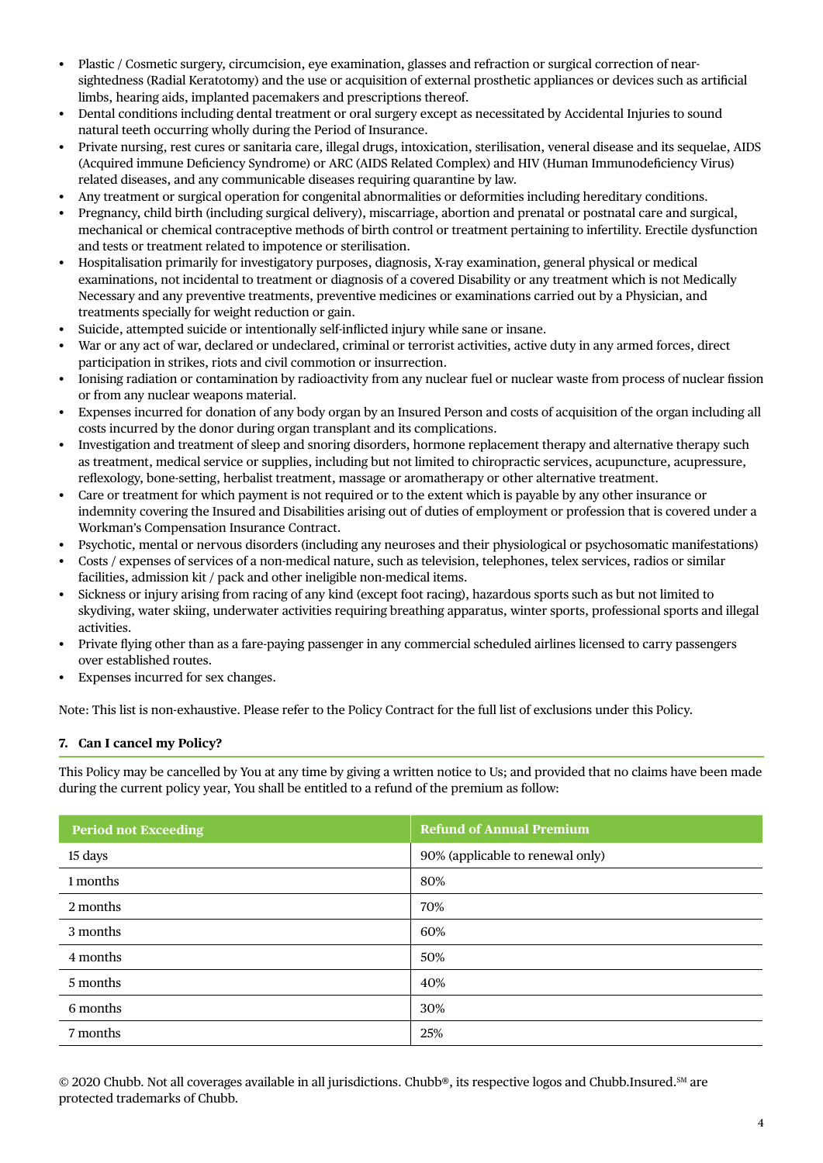- Plastic / Cosmetic surgery, circumcision, eye examination, glasses and refraction or surgical correction of nearsightedness (Radial Keratotomy) and the use or acquisition of external prosthetic appliances or devices such as artificial limbs, hearing aids, implanted pacemakers and prescriptions thereof.
- Dental conditions including dental treatment or oral surgery except as necessitated by Accidental Injuries to sound natural teeth occurring wholly during the Period of Insurance.
- Private nursing, rest cures or sanitaria care, illegal drugs, intoxication, sterilisation, veneral disease and its sequelae, AIDS (Acquired immune Deficiency Syndrome) or ARC (AIDS Related Complex) and HIV (Human Immunodeficiency Virus) related diseases, and any communicable diseases requiring quarantine by law.
- Any treatment or surgical operation for congenital abnormalities or deformities including hereditary conditions.
- Pregnancy, child birth (including surgical delivery), miscarriage, abortion and prenatal or postnatal care and surgical, mechanical or chemical contraceptive methods of birth control or treatment pertaining to infertility. Erectile dysfunction and tests or treatment related to impotence or sterilisation.
- Hospitalisation primarily for investigatory purposes, diagnosis, X-ray examination, general physical or medical examinations, not incidental to treatment or diagnosis of a covered Disability or any treatment which is not Medically Necessary and any preventive treatments, preventive medicines or examinations carried out by a Physician, and treatments specially for weight reduction or gain.
- Suicide, attempted suicide or intentionally self-inflicted injury while sane or insane.
- War or any act of war, declared or undeclared, criminal or terrorist activities, active duty in any armed forces, direct participation in strikes, riots and civil commotion or insurrection.
- Ionising radiation or contamination by radioactivity from any nuclear fuel or nuclear waste from process of nuclear fission or from any nuclear weapons material.
- Expenses incurred for donation of any body organ by an Insured Person and costs of acquisition of the organ including all costs incurred by the donor during organ transplant and its complications.
- Investigation and treatment of sleep and snoring disorders, hormone replacement therapy and alternative therapy such as treatment, medical service or supplies, including but not limited to chiropractic services, acupuncture, acupressure, reflexology, bone-setting, herbalist treatment, massage or aromatherapy or other alternative treatment.
- Care or treatment for which payment is not required or to the extent which is payable by any other insurance or indemnity covering the Insured and Disabilities arising out of duties of employment or profession that is covered under a Workman's Compensation Insurance Contract.
- Psychotic, mental or nervous disorders (including any neuroses and their physiological or psychosomatic manifestations)
- Costs / expenses of services of a non-medical nature, such as television, telephones, telex services, radios or similar facilities, admission kit / pack and other ineligible non-medical items.
- Sickness or injury arising from racing of any kind (except foot racing), hazardous sports such as but not limited to skydiving, water skiing, underwater activities requiring breathing apparatus, winter sports, professional sports and illegal activities.
- Private flying other than as a fare-paying passenger in any commercial scheduled airlines licensed to carry passengers over established routes.
- Expenses incurred for sex changes.

Note: This list is non-exhaustive. Please refer to the Policy Contract for the full list of exclusions under this Policy.

### **7. Can I cancel my Policy?**

This Policy may be cancelled by You at any time by giving a written notice to Us; and provided that no claims have been made during the current policy year, You shall be entitled to a refund of the premium as follow:

| <b>Period not Exceeding</b> | <b>Refund of Annual Premium</b>  |
|-----------------------------|----------------------------------|
| 15 days                     | 90% (applicable to renewal only) |
| 1 months                    | 80%                              |
| 2 months                    | 70%                              |
| 3 months                    | 60%                              |
| 4 months                    | 50%                              |
| 5 months                    | 40%                              |
| 6 months                    | 30%                              |
| 7 months                    | 25%                              |

© 2020 Chubb. Not all coverages available in all jurisdictions. Chubb®, its respective logos and Chubb.Insured.<sup>SM</sup> are protected trademarks of Chubb.